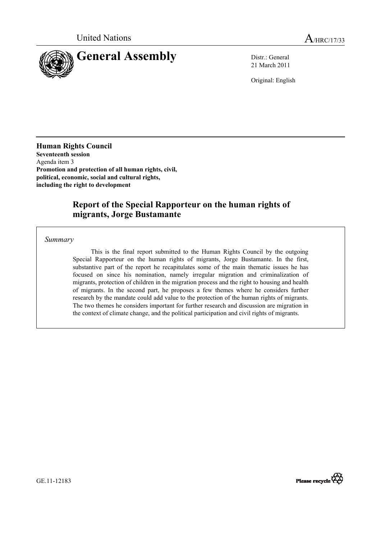

21 March 2011

Original: English

**Human Rights Council Seventeenth session** Agenda item 3 **Promotion and protection of all human rights, civil, political, economic, social and cultural rights, including the right to development** 

# **Report of the Special Rapporteur on the human rights of migrants, Jorge Bustamante**

*Summary* 

 This is the final report submitted to the Human Rights Council by the outgoing Special Rapporteur on the human rights of migrants, Jorge Bustamante. In the first, substantive part of the report he recapitulates some of the main thematic issues he has focused on since his nomination, namely irregular migration and criminalization of migrants, protection of children in the migration process and the right to housing and health of migrants. In the second part, he proposes a few themes where he considers further research by the mandate could add value to the protection of the human rights of migrants. The two themes he considers important for further research and discussion are migration in the context of climate change, and the political participation and civil rights of migrants.



GE.11-12183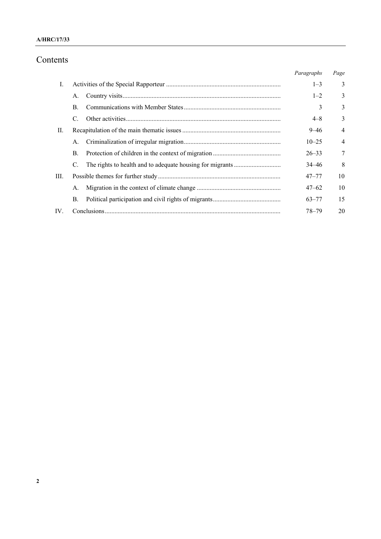## **A/HRC/17/33**

# Contents

|     |                | Paragraphs | Page           |
|-----|----------------|------------|----------------|
| I.  |                | $1 - 3$    | 3              |
|     | А.             | $1 - 2$    | 3              |
|     | $\mathbf{B}$ . | 3          | 3              |
|     | C.             | $4 - 8$    | 3              |
| П.  |                | $9 - 46$   | $\overline{4}$ |
|     | A.             | $10 - 25$  | $\overline{4}$ |
|     | B.             | $26 - 33$  | 7              |
|     |                | $34 - 46$  | 8              |
| Ш.  |                | $47 - 77$  | 10             |
|     | А.             | $47 - 62$  | 10             |
|     | В.             | $63 - 77$  | 15             |
| IV. |                | $78 - 79$  | 20             |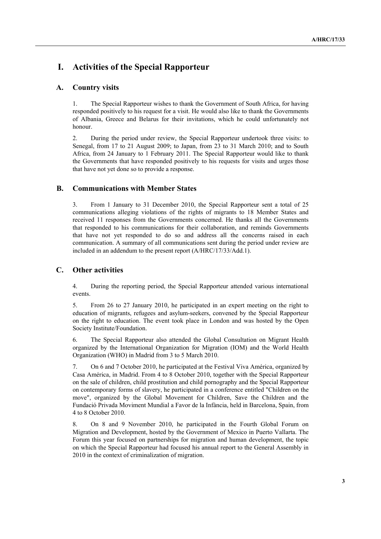# **I. Activities of the Special Rapporteur**

## **A. Country visits**

1. The Special Rapporteur wishes to thank the Government of South Africa, for having responded positively to his request for a visit. He would also like to thank the Governments of Albania, Greece and Belarus for their invitations, which he could unfortunately not honour.

2. During the period under review, the Special Rapporteur undertook three visits: to Senegal, from 17 to 21 August 2009; to Japan, from 23 to 31 March 2010; and to South Africa, from 24 January to 1 February 2011. The Special Rapporteur would like to thank the Governments that have responded positively to his requests for visits and urges those that have not yet done so to provide a response.

## **B. Communications with Member States**

3. From 1 January to 31 December 2010, the Special Rapporteur sent a total of 25 communications alleging violations of the rights of migrants to 18 Member States and received 11 responses from the Governments concerned. He thanks all the Governments that responded to his communications for their collaboration, and reminds Governments that have not yet responded to do so and address all the concerns raised in each communication. A summary of all communications sent during the period under review are included in an addendum to the present report (A/HRC/17/33/Add.1).

## **C. Other activities**

4. During the reporting period, the Special Rapporteur attended various international events.

5. From 26 to 27 January 2010, he participated in an expert meeting on the right to education of migrants, refugees and asylum-seekers, convened by the Special Rapporteur on the right to education. The event took place in London and was hosted by the Open Society Institute/Foundation.

6. The Special Rapporteur also attended the Global Consultation on Migrant Health organized by the International Organization for Migration (IOM) and the World Health Organization (WHO) in Madrid from 3 to 5 March 2010.

7. On 6 and 7 October 2010, he participated at the Festival Viva América, organized by Casa América, in Madrid. From 4 to 8 October 2010, together with the Special Rapporteur on the sale of children, child prostitution and child pornography and the Special Rapporteur on contemporary forms of slavery, he participated in a conference entitled "Children on the move", organized by the Global Movement for Children, Save the Children and the Fundació Privada Moviment Mundial a Favor de la Infància, held in Barcelona, Spain, from 4 to 8 October 2010.

8. On 8 and 9 November 2010, he participated in the Fourth Global Forum on Migration and Development, hosted by the Government of Mexico in Puerto Vallarta. The Forum this year focused on partnerships for migration and human development, the topic on which the Special Rapporteur had focused his annual report to the General Assembly in 2010 in the context of criminalization of migration.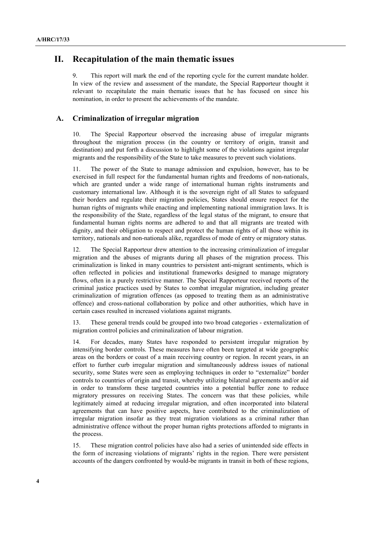## **II. Recapitulation of the main thematic issues**

9. This report will mark the end of the reporting cycle for the current mandate holder. In view of the review and assessment of the mandate, the Special Rapporteur thought it relevant to recapitulate the main thematic issues that he has focused on since his nomination, in order to present the achievements of the mandate.

### **A. Criminalization of irregular migration**

10. The Special Rapporteur observed the increasing abuse of irregular migrants throughout the migration process (in the country or territory of origin, transit and destination) and put forth a discussion to highlight some of the violations against irregular migrants and the responsibility of the State to take measures to prevent such violations.

11. The power of the State to manage admission and expulsion, however, has to be exercised in full respect for the fundamental human rights and freedoms of non-nationals, which are granted under a wide range of international human rights instruments and customary international law. Although it is the sovereign right of all States to safeguard their borders and regulate their migration policies, States should ensure respect for the human rights of migrants while enacting and implementing national immigration laws. It is the responsibility of the State, regardless of the legal status of the migrant, to ensure that fundamental human rights norms are adhered to and that all migrants are treated with dignity, and their obligation to respect and protect the human rights of all those within its territory, nationals and non-nationals alike, regardless of mode of entry or migratory status.

12. The Special Rapporteur drew attention to the increasing criminalization of irregular migration and the abuses of migrants during all phases of the migration process. This criminalization is linked in many countries to persistent anti-migrant sentiments, which is often reflected in policies and institutional frameworks designed to manage migratory flows, often in a purely restrictive manner. The Special Rapporteur received reports of the criminal justice practices used by States to combat irregular migration, including greater criminalization of migration offences (as opposed to treating them as an administrative offence) and cross-national collaboration by police and other authorities, which have in certain cases resulted in increased violations against migrants.

13. These general trends could be grouped into two broad categories - externalization of migration control policies and criminalization of labour migration.

14. For decades, many States have responded to persistent irregular migration by intensifying border controls. These measures have often been targeted at wide geographic areas on the borders or coast of a main receiving country or region. In recent years, in an effort to further curb irregular migration and simultaneously address issues of national security, some States were seen as employing techniques in order to "externalize" border controls to countries of origin and transit, whereby utilizing bilateral agreements and/or aid in order to transform these targeted countries into a potential buffer zone to reduce migratory pressures on receiving States. The concern was that these policies, while legitimately aimed at reducing irregular migration, and often incorporated into bilateral agreements that can have positive aspects, have contributed to the criminalization of irregular migration insofar as they treat migration violations as a criminal rather than administrative offence without the proper human rights protections afforded to migrants in the process.

15. These migration control policies have also had a series of unintended side effects in the form of increasing violations of migrants' rights in the region. There were persistent accounts of the dangers confronted by would-be migrants in transit in both of these regions,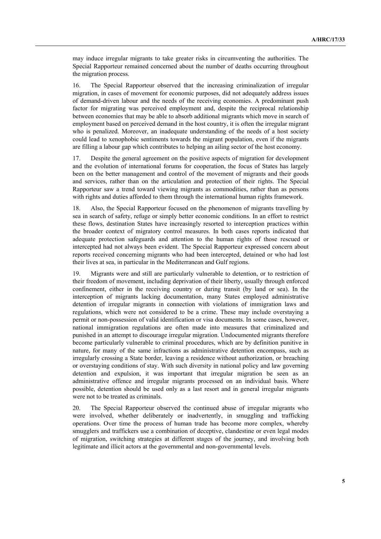may induce irregular migrants to take greater risks in circumventing the authorities. The Special Rapporteur remained concerned about the number of deaths occurring throughout the migration process.

16. The Special Rapporteur observed that the increasing criminalization of irregular migration, in cases of movement for economic purposes, did not adequately address issues of demand-driven labour and the needs of the receiving economies. A predominant push factor for migrating was perceived employment and, despite the reciprocal relationship between economies that may be able to absorb additional migrants which move in search of employment based on perceived demand in the host country, it is often the irregular migrant who is penalized. Moreover, an inadequate understanding of the needs of a host society could lead to xenophobic sentiments towards the migrant population, even if the migrants are filling a labour gap which contributes to helping an ailing sector of the host economy.

17. Despite the general agreement on the positive aspects of migration for development and the evolution of international forums for cooperation, the focus of States has largely been on the better management and control of the movement of migrants and their goods and services, rather than on the articulation and protection of their rights. The Special Rapporteur saw a trend toward viewing migrants as commodities, rather than as persons with rights and duties afforded to them through the international human rights framework.

18. Also, the Special Rapporteur focused on the phenomenon of migrants travelling by sea in search of safety, refuge or simply better economic conditions. In an effort to restrict these flows, destination States have increasingly resorted to interception practices within the broader context of migratory control measures. In both cases reports indicated that adequate protection safeguards and attention to the human rights of those rescued or intercepted had not always been evident. The Special Rapporteur expressed concern about reports received concerning migrants who had been intercepted, detained or who had lost their lives at sea, in particular in the Mediterranean and Gulf regions.

19. Migrants were and still are particularly vulnerable to detention, or to restriction of their freedom of movement, including deprivation of their liberty, usually through enforced confinement, either in the receiving country or during transit (by land or sea). In the interception of migrants lacking documentation, many States employed administrative detention of irregular migrants in connection with violations of immigration laws and regulations, which were not considered to be a crime. These may include overstaying a permit or non-possession of valid identification or visa documents. In some cases, however, national immigration regulations are often made into measures that criminalized and punished in an attempt to discourage irregular migration. Undocumented migrants therefore become particularly vulnerable to criminal procedures, which are by definition punitive in nature, for many of the same infractions as administrative detention encompass, such as irregularly crossing a State border, leaving a residence without authorization, or breaching or overstaying conditions of stay. With such diversity in national policy and law governing detention and expulsion, it was important that irregular migration be seen as an administrative offence and irregular migrants processed on an individual basis. Where possible, detention should be used only as a last resort and in general irregular migrants were not to be treated as criminals.

20. The Special Rapporteur observed the continued abuse of irregular migrants who were involved, whether deliberately or inadvertently, in smuggling and trafficking operations. Over time the process of human trade has become more complex, whereby smugglers and traffickers use a combination of deceptive, clandestine or even legal modes of migration, switching strategies at different stages of the journey, and involving both legitimate and illicit actors at the governmental and non-governmental levels.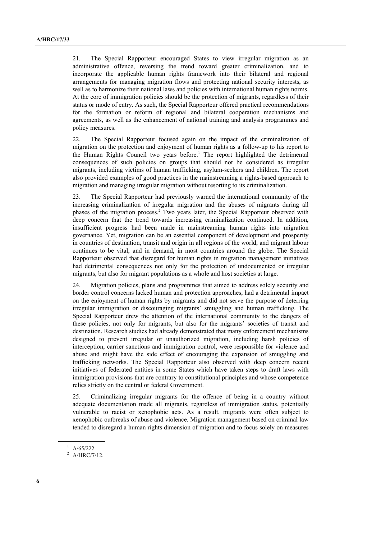21. The Special Rapporteur encouraged States to view irregular migration as an administrative offence, reversing the trend toward greater criminalization, and to incorporate the applicable human rights framework into their bilateral and regional arrangements for managing migration flows and protecting national security interests, as well as to harmonize their national laws and policies with international human rights norms. At the core of immigration policies should be the protection of migrants, regardless of their status or mode of entry. As such, the Special Rapporteur offered practical recommendations for the formation or reform of regional and bilateral cooperation mechanisms and agreements, as well as the enhancement of national training and analysis programmes and policy measures.

22. The Special Rapporteur focused again on the impact of the criminalization of migration on the protection and enjoyment of human rights as a follow-up to his report to the Human Rights Council two years before.<sup>1</sup> The report highlighted the detrimental consequences of such policies on groups that should not be considered as irregular migrants, including victims of human trafficking, asylum-seekers and children. The report also provided examples of good practices in the mainstreaming a rights-based approach to migration and managing irregular migration without resorting to its criminalization.

23. The Special Rapporteur had previously warned the international community of the increasing criminalization of irregular migration and the abuses of migrants during all phases of the migration process.<sup>2</sup> Two years later, the Special Rapporteur observed with deep concern that the trend towards increasing criminalization continued. In addition, insufficient progress had been made in mainstreaming human rights into migration governance. Yet, migration can be an essential component of development and prosperity in countries of destination, transit and origin in all regions of the world, and migrant labour continues to be vital, and in demand, in most countries around the globe. The Special Rapporteur observed that disregard for human rights in migration management initiatives had detrimental consequences not only for the protection of undocumented or irregular migrants, but also for migrant populations as a whole and host societies at large.

24. Migration policies, plans and programmes that aimed to address solely security and border control concerns lacked human and protection approaches, had a detrimental impact on the enjoyment of human rights by migrants and did not serve the purpose of deterring irregular immigration or discouraging migrants' smuggling and human trafficking. The Special Rapporteur drew the attention of the international community to the dangers of these policies, not only for migrants, but also for the migrants' societies of transit and destination. Research studies had already demonstrated that many enforcement mechanisms designed to prevent irregular or unauthorized migration, including harsh policies of interception, carrier sanctions and immigration control, were responsible for violence and abuse and might have the side effect of encouraging the expansion of smuggling and trafficking networks. The Special Rapporteur also observed with deep concern recent initiatives of federated entities in some States which have taken steps to draft laws with immigration provisions that are contrary to constitutional principles and whose competence relies strictly on the central or federal Government.

25. Criminalizing irregular migrants for the offence of being in a country without adequate documentation made all migrants, regardless of immigration status, potentially vulnerable to racist or xenophobic acts. As a result, migrants were often subject to xenophobic outbreaks of abuse and violence. Migration management based on criminal law tended to disregard a human rights dimension of migration and to focus solely on measures

 $^1$  A/65/222.

 $^2$  A/HRC/7/12.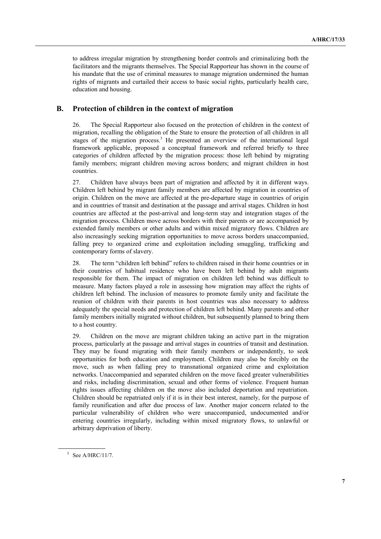to address irregular migration by strengthening border controls and criminalizing both the facilitators and the migrants themselves. The Special Rapporteur has shown in the course of his mandate that the use of criminal measures to manage migration undermined the human rights of migrants and curtailed their access to basic social rights, particularly health care, education and housing.

## **B. Protection of children in the context of migration**

26. The Special Rapporteur also focused on the protection of children in the context of migration, recalling the obligation of the State to ensure the protection of all children in all stages of the migration process.<sup>3</sup> He presented an overview of the international legal framework applicable, proposed a conceptual framework and referred briefly to three categories of children affected by the migration process: those left behind by migrating family members; migrant children moving across borders; and migrant children in host countries.

27. Children have always been part of migration and affected by it in different ways. Children left behind by migrant family members are affected by migration in countries of origin. Children on the move are affected at the pre-departure stage in countries of origin and in countries of transit and destination at the passage and arrival stages. Children in host countries are affected at the post-arrival and long-term stay and integration stages of the migration process. Children move across borders with their parents or are accompanied by extended family members or other adults and within mixed migratory flows. Children are also increasingly seeking migration opportunities to move across borders unaccompanied, falling prey to organized crime and exploitation including smuggling, trafficking and contemporary forms of slavery.

28. The term "children left behind" refers to children raised in their home countries or in their countries of habitual residence who have been left behind by adult migrants responsible for them. The impact of migration on children left behind was difficult to measure. Many factors played a role in assessing how migration may affect the rights of children left behind. The inclusion of measures to promote family unity and facilitate the reunion of children with their parents in host countries was also necessary to address adequately the special needs and protection of children left behind. Many parents and other family members initially migrated without children, but subsequently planned to bring them to a host country.

29. Children on the move are migrant children taking an active part in the migration process, particularly at the passage and arrival stages in countries of transit and destination. They may be found migrating with their family members or independently, to seek opportunities for both education and employment. Children may also be forcibly on the move, such as when falling prey to transnational organized crime and exploitation networks. Unaccompanied and separated children on the move faced greater vulnerabilities and risks, including discrimination, sexual and other forms of violence. Frequent human rights issues affecting children on the move also included deportation and repatriation. Children should be repatriated only if it is in their best interest, namely, for the purpose of family reunification and after due process of law. Another major concern related to the particular vulnerability of children who were unaccompanied, undocumented and/or entering countries irregularly, including within mixed migratory flows, to unlawful or arbitrary deprivation of liberty.

 $3$  See A/HRC/11/7.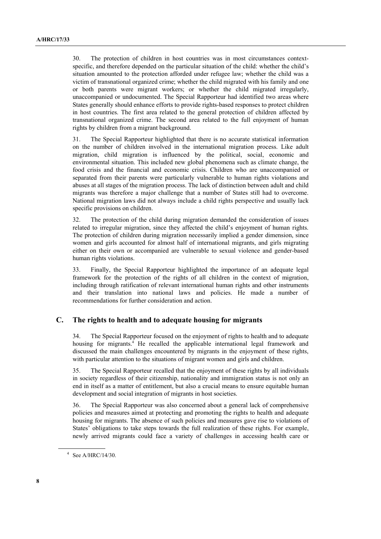30. The protection of children in host countries was in most circumstances contextspecific, and therefore depended on the particular situation of the child: whether the child's situation amounted to the protection afforded under refugee law; whether the child was a victim of transnational organized crime; whether the child migrated with his family and one or both parents were migrant workers; or whether the child migrated irregularly, unaccompanied or undocumented. The Special Rapporteur had identified two areas where States generally should enhance efforts to provide rights-based responses to protect children in host countries. The first area related to the general protection of children affected by transnational organized crime. The second area related to the full enjoyment of human rights by children from a migrant background.

31. The Special Rapporteur highlighted that there is no accurate statistical information on the number of children involved in the international migration process. Like adult migration, child migration is influenced by the political, social, economic and environmental situation. This included new global phenomena such as climate change, the food crisis and the financial and economic crisis. Children who are unaccompanied or separated from their parents were particularly vulnerable to human rights violations and abuses at all stages of the migration process. The lack of distinction between adult and child migrants was therefore a major challenge that a number of States still had to overcome. National migration laws did not always include a child rights perspective and usually lack specific provisions on children.

32. The protection of the child during migration demanded the consideration of issues related to irregular migration, since they affected the child's enjoyment of human rights. The protection of children during migration necessarily implied a gender dimension, since women and girls accounted for almost half of international migrants, and girls migrating either on their own or accompanied are vulnerable to sexual violence and gender-based human rights violations.

33. Finally, the Special Rapporteur highlighted the importance of an adequate legal framework for the protection of the rights of all children in the context of migration, including through ratification of relevant international human rights and other instruments and their translation into national laws and policies. He made a number of recommendations for further consideration and action.

## **C. The rights to health and to adequate housing for migrants**

34. The Special Rapporteur focused on the enjoyment of rights to health and to adequate housing for migrants.<sup>4</sup> He recalled the applicable international legal framework and discussed the main challenges encountered by migrants in the enjoyment of these rights, with particular attention to the situations of migrant women and girls and children.

35. The Special Rapporteur recalled that the enjoyment of these rights by all individuals in society regardless of their citizenship, nationality and immigration status is not only an end in itself as a matter of entitlement, but also a crucial means to ensure equitable human development and social integration of migrants in host societies.

36. The Special Rapporteur was also concerned about a general lack of comprehensive policies and measures aimed at protecting and promoting the rights to health and adequate housing for migrants. The absence of such policies and measures gave rise to violations of States' obligations to take steps towards the full realization of these rights. For example, newly arrived migrants could face a variety of challenges in accessing health care or

<sup>4</sup> See A/HRC/14/30.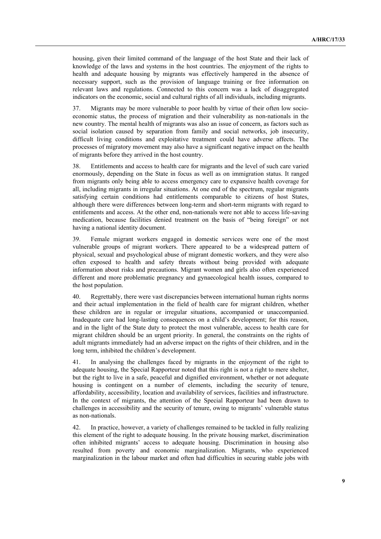housing, given their limited command of the language of the host State and their lack of knowledge of the laws and systems in the host countries. The enjoyment of the rights to health and adequate housing by migrants was effectively hampered in the absence of necessary support, such as the provision of language training or free information on relevant laws and regulations. Connected to this concern was a lack of disaggregated indicators on the economic, social and cultural rights of all individuals, including migrants.

37. Migrants may be more vulnerable to poor health by virtue of their often low socioeconomic status, the process of migration and their vulnerability as non-nationals in the new country. The mental health of migrants was also an issue of concern, as factors such as social isolation caused by separation from family and social networks, job insecurity, difficult living conditions and exploitative treatment could have adverse affects. The processes of migratory movement may also have a significant negative impact on the health of migrants before they arrived in the host country.

38. Entitlements and access to health care for migrants and the level of such care varied enormously, depending on the State in focus as well as on immigration status. It ranged from migrants only being able to access emergency care to expansive health coverage for all, including migrants in irregular situations. At one end of the spectrum, regular migrants satisfying certain conditions had entitlements comparable to citizens of host States, although there were differences between long-term and short-term migrants with regard to entitlements and access. At the other end, non-nationals were not able to access life-saving medication, because facilities denied treatment on the basis of "being foreign" or not having a national identity document.

39. Female migrant workers engaged in domestic services were one of the most vulnerable groups of migrant workers. There appeared to be a widespread pattern of physical, sexual and psychological abuse of migrant domestic workers, and they were also often exposed to health and safety threats without being provided with adequate information about risks and precautions. Migrant women and girls also often experienced different and more problematic pregnancy and gynaecological health issues, compared to the host population.

40. Regrettably, there were vast discrepancies between international human rights norms and their actual implementation in the field of health care for migrant children, whether these children are in regular or irregular situations, accompanied or unaccompanied. Inadequate care had long-lasting consequences on a child's development; for this reason, and in the light of the State duty to protect the most vulnerable, access to health care for migrant children should be an urgent priority. In general, the constraints on the rights of adult migrants immediately had an adverse impact on the rights of their children, and in the long term, inhibited the children's development.

41. In analysing the challenges faced by migrants in the enjoyment of the right to adequate housing, the Special Rapporteur noted that this right is not a right to mere shelter, but the right to live in a safe, peaceful and dignified environment, whether or not adequate housing is contingent on a number of elements, including the security of tenure, affordability, accessibility, location and availability of services, facilities and infrastructure. In the context of migrants, the attention of the Special Rapporteur had been drawn to challenges in accessibility and the security of tenure, owing to migrants' vulnerable status as non-nationals.

42. In practice, however, a variety of challenges remained to be tackled in fully realizing this element of the right to adequate housing. In the private housing market, discrimination often inhibited migrants' access to adequate housing. Discrimination in housing also resulted from poverty and economic marginalization. Migrants, who experienced marginalization in the labour market and often had difficulties in securing stable jobs with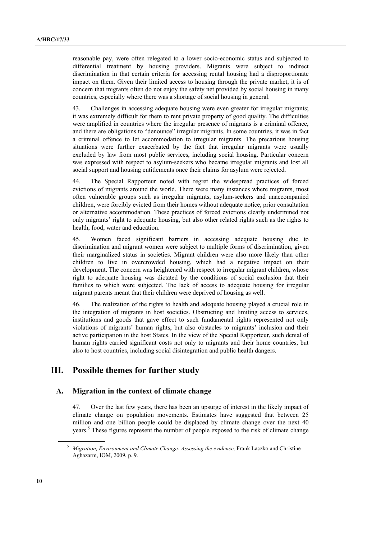reasonable pay, were often relegated to a lower socio-economic status and subjected to differential treatment by housing providers. Migrants were subject to indirect discrimination in that certain criteria for accessing rental housing had a disproportionate impact on them. Given their limited access to housing through the private market, it is of concern that migrants often do not enjoy the safety net provided by social housing in many countries, especially where there was a shortage of social housing in general.

43. Challenges in accessing adequate housing were even greater for irregular migrants; it was extremely difficult for them to rent private property of good quality. The difficulties were amplified in countries where the irregular presence of migrants is a criminal offence, and there are obligations to "denounce" irregular migrants. In some countries, it was in fact a criminal offence to let accommodation to irregular migrants. The precarious housing situations were further exacerbated by the fact that irregular migrants were usually excluded by law from most public services, including social housing. Particular concern was expressed with respect to asylum-seekers who became irregular migrants and lost all social support and housing entitlements once their claims for asylum were rejected.

44. The Special Rapporteur noted with regret the widespread practices of forced evictions of migrants around the world. There were many instances where migrants, most often vulnerable groups such as irregular migrants, asylum-seekers and unaccompanied children, were forcibly evicted from their homes without adequate notice, prior consultation or alternative accommodation. These practices of forced evictions clearly undermined not only migrants' right to adequate housing, but also other related rights such as the rights to health, food, water and education.

45. Women faced significant barriers in accessing adequate housing due to discrimination and migrant women were subject to multiple forms of discrimination, given their marginalized status in societies. Migrant children were also more likely than other children to live in overcrowded housing, which had a negative impact on their development. The concern was heightened with respect to irregular migrant children, whose right to adequate housing was dictated by the conditions of social exclusion that their families to which were subjected. The lack of access to adequate housing for irregular migrant parents meant that their children were deprived of housing as well.

46. The realization of the rights to health and adequate housing played a crucial role in the integration of migrants in host societies. Obstructing and limiting access to services, institutions and goods that gave effect to such fundamental rights represented not only violations of migrants' human rights, but also obstacles to migrants' inclusion and their active participation in the host States. In the view of the Special Rapporteur, such denial of human rights carried significant costs not only to migrants and their home countries, but also to host countries, including social disintegration and public health dangers.

## **III. Possible themes for further study**

## **A. Migration in the context of climate change**

47. Over the last few years, there has been an upsurge of interest in the likely impact of climate change on population movements. Estimates have suggested that between 25 million and one billion people could be displaced by climate change over the next 40 years.<sup>5</sup> These figures represent the number of people exposed to the risk of climate change

<sup>&</sup>lt;sup>5</sup> Migration, Environment and Climate Change: Assessing the evidence, Frank Laczko and Christine Aghazarm, IOM, 2009, p. 9.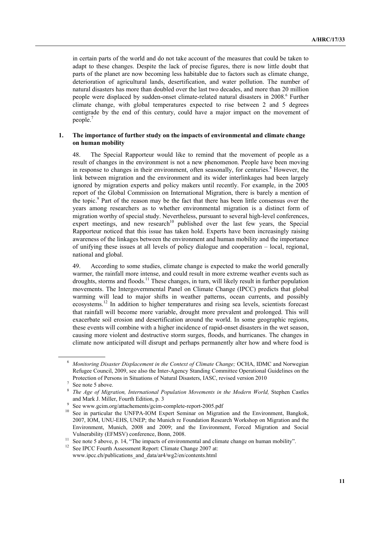in certain parts of the world and do not take account of the measures that could be taken to adapt to these changes. Despite the lack of precise figures, there is now little doubt that parts of the planet are now becoming less habitable due to factors such as climate change, deterioration of agricultural lands, desertification, and water pollution. The number of natural disasters has more than doubled over the last two decades, and more than 20 million people were displaced by sudden-onset climate-related natural disasters in 2008.<sup>6</sup> Further climate change, with global temperatures expected to rise between 2 and 5 degrees centigrade by the end of this century, could have a major impact on the movement of people.7

### **1. The importance of further study on the impacts of environmental and climate change on human mobility**

48. The Special Rapporteur would like to remind that the movement of people as a result of changes in the environment is not a new phenomenon. People have been moving in response to changes in their environment, often seasonally, for centuries.<sup>8</sup> However, the link between migration and the environment and its wider interlinkages had been largely ignored by migration experts and policy makers until recently. For example, in the 2005 report of the Global Commission on International Migration, there is barely a mention of the topic.<sup>9</sup> Part of the reason may be the fact that there has been little consensus over the years among researchers as to whether environmental migration is a distinct form of migration worthy of special study. Nevertheless, pursuant to several high-level conferences, expert meetings, and new research<sup>10</sup> published over the last few years, the Special Rapporteur noticed that this issue has taken hold. Experts have been increasingly raising awareness of the linkages between the environment and human mobility and the importance of unifying these issues at all levels of policy dialogue and cooperation – local, regional, national and global.

49. According to some studies, climate change is expected to make the world generally warmer, the rainfall more intense, and could result in more extreme weather events such as droughts, storms and floods.<sup>11</sup> These changes, in turn, will likely result in further population movements. The Intergovernmental Panel on Climate Change (IPCC) predicts that global warming will lead to major shifts in weather patterns, ocean currents, and possibly ecosystems.12 In addition to higher temperatures and rising sea levels, scientists forecast that rainfall will become more variable, drought more prevalent and prolonged. This will exacerbate soil erosion and desertification around the world. In some geographic regions, these events will combine with a higher incidence of rapid-onset disasters in the wet season, causing more violent and destructive storm surges, floods, and hurricanes. The changes in climate now anticipated will disrupt and perhaps permanently alter how and where food is

<sup>6</sup>  *Monitoring Disaster Displacement in the Context of Climate Change;* OCHA, IDMC and Norwegian Refugee Council, 2009, see also the Inter-Agency Standing Committee Operational Guidelines on the Protection of Persons in Situations of Natural Disasters, IASC, revised version 2010 7

See note 5 above.

<sup>8</sup>  *The Age of Migration, International Population Movements in the Modern World,* Stephen Castles and Mark J. Miller, Fourth Edition, p. 3<br>See www.gcim.org/attachements/gcim-complete-report-2005.pdf

<sup>&</sup>lt;sup>10</sup> See in particular the UNFPA-IOM Expert Seminar on Migration and the Environment, Bangkok, 2007, IOM, UNU-EHS, UNEP; the Munich re Foundation Research Workshop on Migration and the Environment, Munich, 2008 and 2009; and the Environment, Forced Migration and Social Vulnerability (EFMSV) conference, Bonn, 2008.<br><sup>11</sup> See note 5 above, p. 14, "The impacts of environmental and climate change on human mobility".<br><sup>12</sup> See IPCC Fourth Assessment Report: Climate Change 2007 at:

www.ipcc.ch/publications\_and\_data/ar4/wg2/en/contents.html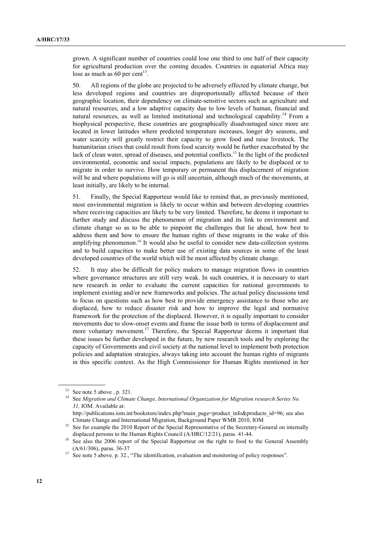grown. A significant number of countries could lose one third to one half of their capacity for agricultural production over the coming decades. Countries in equatorial Africa may lose as much as 60 per cent<sup>13</sup>.

50. All regions of the globe are projected to be adversely effected by climate change, but less developed regions and countries are disproportionally affected because of their geographic location, their dependency on climate-sensitive sectors such as agriculture and natural resources, and a low adaptive capacity due to low levels of human, financial and natural resources, as well as limited institutional and technological capability.<sup>14</sup> From a biophysical perspective, these countries are geographically disadvantaged since more are located in lower latitudes where predicted temperature increases, longer dry seasons, and water scarcity will greatly restrict their capacity to grow food and raise livestock. The humanitarian crises that could result from food scarcity would be further exacerbated by the lack of clean water, spread of diseases, and potential conflicts.<sup>15</sup> In the light of the predicted environmental, economic and social impacts, populations are likely to be displaced or to migrate in order to survive. How temporary or permanent this displacement of migration will be and where populations will go is still uncertain, although much of the movements, at least initially, are likely to be internal.

51. Finally, the Special Rapporteur would like to remind that, as previously mentioned, most environmental migration is likely to occur within and between developing countries where receiving capacities are likely to be very limited. Therefore, he deems it important to further study and discuss the phenomenon of migration and its link to environment and climate change so as to be able to pinpoint the challenges that lie ahead, how best to address them and how to ensure the human rights of these migrants in the wake of this amplifying phenomenon.<sup>16</sup> It would also be useful to consider new data-collection systems and to build capacities to make better use of existing data sources in some of the least developed countries of the world which will be most affected by climate change.

52. It may also be difficult for policy makers to manage migration flows in countries where governance structures are still very weak. In such countries, it is necessary to start new research in order to evaluate the current capacities for national governments to implement existing and/or new frameworks and policies. The actual policy discussions tend to focus on questions such as how best to provide emergency assistance to those who are displaced, how to reduce disaster risk and how to improve the legal and normative framework for the protection of the displaced. However, it is equally important to consider movements due to slow-onset events and frame the issue both in terms of displacement and more voluntary movement.<sup>17</sup> Therefore, the Special Rapporteur deems it important that these issues be further developed in the future, by new research tools and by exploring the capacity of Governments and civil society at the national level to implement both protection policies and adaptation strategies, always taking into account the human rights of migrants in this specific context. As the High Commissioner for Human Rights mentioned in her

See note 5 above , p. 321.

<sup>14</sup> See *Migration and Climate Change, International Organization for Migration research Series No. 31,* IOM. Available at:

http://publications.iom.int/bookstore/index.php?main\_page=product\_info&products\_id=96; see also

Climate Change and International Migration, Background Paper WMR 2010, IOM 15 See for example the 2010 Report of the Special Representative of the Secretary-General on internally

displaced persons to the Human Rights Council (A/HRC/12/21), paras. 41-44.<br><sup>16</sup> See also the 2006 report of the Special Rapporteur on the right to food to the General Assembly (A/61/306), paras. 36-37 17 See note 5 above*,* p. 32., "The identification, evaluation and monitoring of policy responses".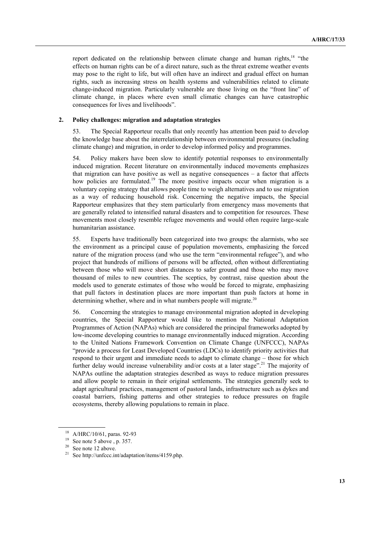report dedicated on the relationship between climate change and human rights.<sup>18</sup> "the effects on human rights can be of a direct nature, such as the threat extreme weather events may pose to the right to life, but will often have an indirect and gradual effect on human rights, such as increasing stress on health systems and vulnerabilities related to climate change-induced migration. Particularly vulnerable are those living on the "front line" of climate change, in places where even small climatic changes can have catastrophic consequences for lives and livelihoods".

### **2. Policy challenges: migration and adaptation strategies**

53. The Special Rapporteur recalls that only recently has attention been paid to develop the knowledge base about the interrelationship between environmental pressures (including climate change) and migration, in order to develop informed policy and programmes.

54. Policy makers have been slow to identify potential responses to environmentally induced migration. Recent literature on environmentally induced movements emphasizes that migration can have positive as well as negative consequences – a factor that affects how policies are formulated.<sup>19</sup> The more positive impacts occur when migration is a voluntary coping strategy that allows people time to weigh alternatives and to use migration as a way of reducing household risk. Concerning the negative impacts, the Special Rapporteur emphasizes that they stem particularly from emergency mass movements that are generally related to intensified natural disasters and to competition for resources. These movements most closely resemble refugee movements and would often require large-scale humanitarian assistance.

55. Experts have traditionally been categorized into two groups: the alarmists, who see the environment as a principal cause of population movements, emphasizing the forced nature of the migration process (and who use the term "environmental refugee"), and who project that hundreds of millions of persons will be affected, often without differentiating between those who will move short distances to safer ground and those who may move thousand of miles to new countries. The sceptics, by contrast, raise question about the models used to generate estimates of those who would be forced to migrate, emphasizing that pull factors in destination places are more important than push factors at home in determining whether, where and in what numbers people will migrate.<sup>20</sup>

56. Concerning the strategies to manage environmental migration adopted in developing countries, the Special Rapporteur would like to mention the National Adaptation Programmes of Action (NAPAs) which are considered the principal frameworks adopted by low-income developing countries to manage environmentally induced migration. According to the United Nations Framework Convention on Climate Change (UNFCCC), NAPAs "provide a process for Least Developed Countries (LDCs) to identify priority activities that respond to their urgent and immediate needs to adapt to climate change – those for which further delay would increase vulnerability and/or costs at a later stage".<sup>21</sup> The majority of NAPAs outline the adaptation strategies described as ways to reduce migration pressures and allow people to remain in their original settlements. The strategies generally seek to adapt agricultural practices, management of pastoral lands, infrastructure such as dykes and coastal barriers, fishing patterns and other strategies to reduce pressures on fragile ecosystems, thereby allowing populations to remain in place.

<sup>18</sup> A/HRC/10/61, paras. 92-93

<sup>&</sup>lt;sup>19</sup> See note 5 above , p. 357.

<sup>&</sup>lt;sup>20</sup> See note 12 above.

<sup>21</sup> See http://unfccc.int/adaptation/items/4159.php.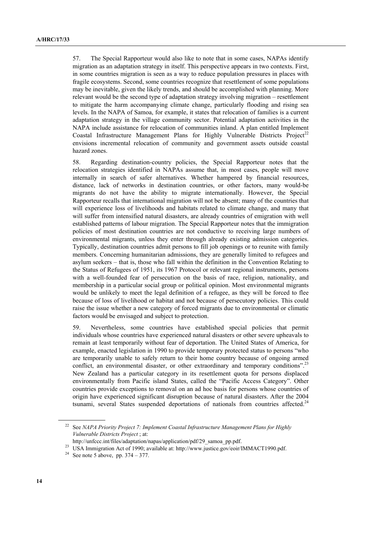57. The Special Rapporteur would also like to note that in some cases, NAPAs identify migration as an adaptation strategy in itself. This perspective appears in two contexts. First, in some countries migration is seen as a way to reduce population pressures in places with fragile ecosystems. Second, some countries recognize that resettlement of some populations may be inevitable, given the likely trends, and should be accomplished with planning. More relevant would be the second type of adaptation strategy involving migration – resettlement to mitigate the harm accompanying climate change, particularly flooding and rising sea levels. In the NAPA of Samoa, for example, it states that relocation of families is a current adaptation strategy in the village community sector. Potential adaptation activities in the NAPA include assistance for relocation of communities inland. A plan entitled Implement Coastal Infrastructure Management Plans for Highly Vulnerable Districts Project<sup>22</sup> envisions incremental relocation of community and government assets outside coastal hazard zones.

58. Regarding destination-country policies, the Special Rapporteur notes that the relocation strategies identified in NAPAs assume that, in most cases, people will move internally in search of safer alternatives. Whether hampered by financial resources, distance, lack of networks in destination countries, or other factors, many would-be migrants do not have the ability to migrate internationally. However, the Special Rapporteur recalls that international migration will not be absent; many of the countries that will experience loss of livelihoods and habitats related to climate change, and many that will suffer from intensified natural disasters, are already countries of emigration with well established patterns of labour migration. The Special Rapporteur notes that the immigration policies of most destination countries are not conductive to receiving large numbers of environmental migrants, unless they enter through already existing admission categories. Typically, destination countries admit persons to fill job openings or to reunite with family members. Concerning humanitarian admissions, they are generally limited to refugees and asylum seekers – that is, those who fall within the definition in the Convention Relating to the Status of Refugees of 1951, its 1967 Protocol or relevant regional instruments, persons with a well-founded fear of persecution on the basis of race, religion, nationality, and membership in a particular social group or political opinion. Most environmental migrants would be unlikely to meet the legal definition of a refugee, as they will be forced to flee because of loss of livelihood or habitat and not because of persecutory policies. This could raise the issue whether a new category of forced migrants due to environmental or climatic factors would be envisaged and subject to protection.

59. Nevertheless, some countries have established special policies that permit individuals whose countries have experienced natural disasters or other severe upheavals to remain at least temporarily without fear of deportation. The United States of America, for example, enacted legislation in 1990 to provide temporary protected status to persons "who are temporarily unable to safely return to their home country because of ongoing armed conflict, an environmental disaster, or other extraordinary and temporary conditions".<sup>23</sup> New Zealand has a particular category in its resettlement quota for persons displaced environmentally from Pacific island States, called the "Pacific Access Category". Other countries provide exceptions to removal on an ad hoc basis for persons whose countries of origin have experienced significant disruption because of natural disasters. After the 2004 tsunami, several States suspended deportations of nationals from countries affected. $24$ 

<sup>22</sup> See *NAPA Priority Project 7: Implement Coastal Infrastructure Management Plans for Highly Vulnerable Districts Project* ; at:

<sup>&</sup>lt;sup>23</sup> USA Immigration Act of 1990; available at: http://www.justice.gov/eoir/IMMACT1990.pdf. <sup>24</sup> See note 5 above, pp. 374 – 377.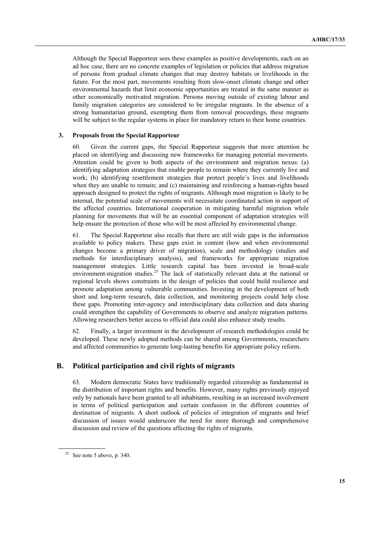Although the Special Rapporteur sees these examples as positive developments, each on an ad hoc case, there are no concrete examples of legislation or policies that address migration of persons from gradual climate changes that may destroy habitats or livelihoods in the future. For the most part, movements resulting from slow-onset climate change and other environmental hazards that limit economic opportunities are treated in the same manner as other economically motivated migration. Persons moving outside of existing labour and family migration categories are considered to be irregular migrants. In the absence of a strong humanitarian ground, exempting them from removal proceedings, these migrants will be subject to the regular systems in place for mandatory return to their home countries.

### **3. Proposals from the Special Rapporteur**

60. Given the current gaps, the Special Rapporteur suggests that more attention be placed on identifying and discussing new frameworks for managing potential movements. Attention could be given to both aspects of the environment and migration nexus: (a) identifying adaptation strategies that enable people to remain where they currently live and work; (b) identifying resettlement strategies that protect people's lives and livelihoods when they are unable to remain; and (c) maintaining and reinforcing a human-rights based approach designed to protect the rights of migrants. Although most migration is likely to be internal, the potential scale of movements will necessitate coordinated action in support of the affected countries. International cooperation in mitigating harmful migration while planning for movements that will be an essential component of adaptation strategies will help ensure the protection of those who will be most affected by environmental change.

61. The Special Rapporteur also recalls that there are still wide gaps in the information available to policy makers. These gaps exist in content (how and when environmental changes become a primary driver of migration), scale and methodology (studies and methods for interdisciplinary analysis), and frameworks for appropriate migration management strategies. Little research capital has been invested in broad-scale environment-migration studies.<sup>25</sup> The lack of statistically relevant data at the national or regional levels shows constraints in the design of policies that could build resilience and promote adaptation among vulnerable communities. Investing in the development of both short and long-term research, data collection, and monitoring projects could help close these gaps. Promoting inter-agency and interdisciplinary data collection and data sharing could strengthen the capability of Governments to observe and analyze migration patterns. Allowing researchers better access to official data could also enhance study results.

62. Finally, a larger investment in the development of research methodologies could be developed. These newly adopted methods can be shared among Governments, researchers and affected communities to generate long-lasting benefits for appropriate policy reform.

## **B. Political participation and civil rights of migrants**

63. Modern democratic States have traditionally regarded citizenship as fundamental in the distribution of important rights and benefits. However, many rights previously enjoyed only by nationals have been granted to all inhabitants, resulting in an increased involvement in terms of political participation and certain confusion in the different countries of destination of migrants. A short outlook of policies of integration of migrants and brief discussion of issues would underscore the need for more thorough and comprehensive discussion and review of the questions affecting the rights of migrants.

 $25$  See note 5 above, p. 340.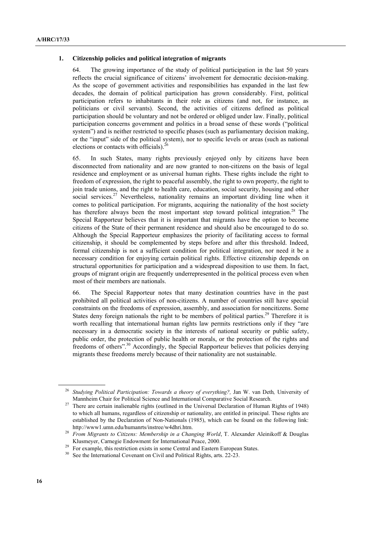### **1. Citizenship policies and political integration of migrants**

64. The growing importance of the study of political participation in the last 50 years reflects the crucial significance of citizens' involvement for democratic decision-making. As the scope of government activities and responsibilities has expanded in the last few decades, the domain of political participation has grown considerably. First, political participation refers to inhabitants in their role as citizens (and not, for instance, as politicians or civil servants). Second, the activities of citizens defined as political participation should be voluntary and not be ordered or obliged under law. Finally, political participation concerns government and politics in a broad sense of these words ("political system") and is neither restricted to specific phases (such as parliamentary decision making, or the "input" side of the political system), nor to specific levels or areas (such as national elections or contacts with officials). $^{26}$ 

65. In such States, many rights previously enjoyed only by citizens have been disconnected from nationality and are now granted to non-citizens on the basis of legal residence and employment or as universal human rights. These rights include the right to freedom of expression, the right to peaceful assembly, the right to own property, the right to join trade unions, and the right to health care, education, social security, housing and other social services.<sup>27</sup> Nevertheless, nationality remains an important dividing line when it comes to political participation. For migrants, acquiring the nationality of the host society has therefore always been the most important step toward political integration.<sup>28</sup> The Special Rapporteur believes that it is important that migrants have the option to become citizens of the State of their permanent residence and should also be encouraged to do so. Although the Special Rapporteur emphasizes the priority of facilitating access to formal citizenship, it should be complemented by steps before and after this threshold. Indeed, formal citizenship is not a sufficient condition for political integration, nor need it be a necessary condition for enjoying certain political rights. Effective citizenship depends on structural opportunities for participation and a widespread disposition to use them. In fact, groups of migrant origin are frequently underrepresented in the political process even when most of their members are nationals.

66. The Special Rapporteur notes that many destination countries have in the past prohibited all political activities of non-citizens. A number of countries still have special constraints on the freedoms of expression, assembly, and association for noncitizens. Some States deny foreign nationals the right to be members of political parties.<sup>29</sup> Therefore it is worth recalling that international human rights law permits restrictions only if they "are necessary in a democratic society in the interests of national security or public safety, public order, the protection of public health or morals, or the protection of the rights and freedoms of others".<sup>30</sup> Accordingly, the Special Rapporteur believes that policies denying migrants these freedoms merely because of their nationality are not sustainable.

<sup>26</sup> *Studying Political Participation: Towards a theory of everything?,* Jan W. van Deth*,* University of

Mannheim Chair for Political Science and International Comparative Social Research.<br><sup>27</sup> There are certain inalienable rights (outlined in the Universal Declaration of Human Rights of 1948) to which all humans, regardless of citizenship or nationality, are entitled in principal. These rights are established by the Declaration of Non-Nationals (1985), which can be found on the following link:

http://www1.umn.edu/humanrts/instree/w4dhri.htm.<br><sup>28</sup> From Migrants to Citizens: Membership in a Changing World, T. Alexander Aleinikoff & Douglas<br>Klusmeyer, Carnegie Endowment for International Peace, 2000.

<sup>&</sup>lt;sup>29</sup> For example, this restriction exists in some Central and Eastern European States.

<sup>&</sup>lt;sup>30</sup> See the International Covenant on Civil and Political Rights, arts. 22-23.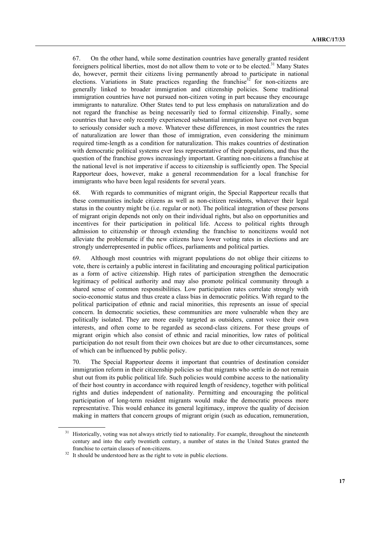67. On the other hand, while some destination countries have generally granted resident foreigners political liberties, most do not allow them to vote or to be elected.<sup>31</sup> Many States do, however, permit their citizens living permanently abroad to participate in national elections. Variations in State practices regarding the franchise<sup>32</sup> for non-citizens are generally linked to broader immigration and citizenship policies. Some traditional immigration countries have not pursued non-citizen voting in part because they encourage immigrants to naturalize. Other States tend to put less emphasis on naturalization and do not regard the franchise as being necessarily tied to formal citizenship. Finally, some countries that have only recently experienced substantial immigration have not even begun to seriously consider such a move. Whatever these differences, in most countries the rates of naturalization are lower than those of immigration, even considering the minimum required time-length as a condition for naturalization. This makes countries of destination with democratic political systems ever less representative of their populations, and thus the question of the franchise grows increasingly important. Granting non-citizens a franchise at the national level is not imperative if access to citizenship is sufficiently open. The Special Rapporteur does, however, make a general recommendation for a local franchise for immigrants who have been legal residents for several years.

68. With regards to communities of migrant origin, the Special Rapporteur recalls that these communities include citizens as well as non-citizen residents, whatever their legal status in the country might be (i.e. regular or not). The political integration of these persons of migrant origin depends not only on their individual rights, but also on opportunities and incentives for their participation in political life. Access to political rights through admission to citizenship or through extending the franchise to noncitizens would not alleviate the problematic if the new citizens have lower voting rates in elections and are strongly underrepresented in public offices, parliaments and political parties.

69. Although most countries with migrant populations do not oblige their citizens to vote, there is certainly a public interest in facilitating and encouraging political participation as a form of active citizenship. High rates of participation strengthen the democratic legitimacy of political authority and may also promote political community through a shared sense of common responsibilities. Low participation rates correlate strongly with socio-economic status and thus create a class bias in democratic politics. With regard to the political participation of ethnic and racial minorities, this represents an issue of special concern. In democratic societies, these communities are more vulnerable when they are politically isolated. They are more easily targeted as outsiders, cannot voice their own interests, and often come to be regarded as second-class citizens. For these groups of migrant origin which also consist of ethnic and racial minorities, low rates of political participation do not result from their own choices but are due to other circumstances, some of which can be influenced by public policy.

70. The Special Rapporteur deems it important that countries of destination consider immigration reform in their citizenship policies so that migrants who settle in do not remain shut out from its public political life. Such policies would combine access to the nationality of their host country in accordance with required length of residency, together with political rights and duties independent of nationality. Permitting and encouraging the political participation of long-term resident migrants would make the democratic process more representative. This would enhance its general legitimacy, improve the quality of decision making in matters that concern groups of migrant origin (such as education, remuneration,

Historically, voting was not always strictly tied to nationality. For example, throughout the nineteenth century and into the early twentieth century, a number of states in the United States granted the franchise to certain classes of non-citizens.<br><sup>32</sup> It should be understood here as the right to vote in public elections.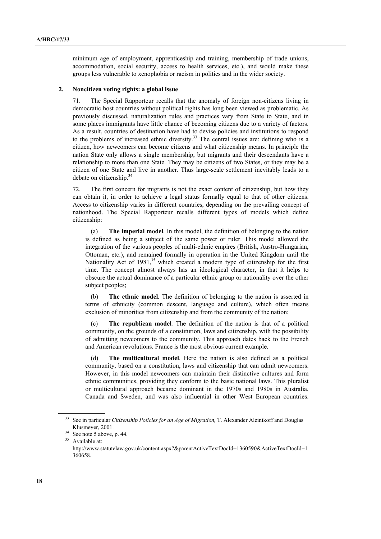minimum age of employment, apprenticeship and training, membership of trade unions, accommodation, social security, access to health services, etc.), and would make these groups less vulnerable to xenophobia or racism in politics and in the wider society.

#### **2. Noncitizen voting rights: a global issue**

71. The Special Rapporteur recalls that the anomaly of foreign non-citizens living in democratic host countries without political rights has long been viewed as problematic. As previously discussed, naturalization rules and practices vary from State to State, and in some places immigrants have little chance of becoming citizens due to a variety of factors. As a result, countries of destination have had to devise policies and institutions to respond to the problems of increased ethnic diversity.<sup>33</sup> The central issues are: defining who is a citizen, how newcomers can become citizens and what citizenship means. In principle the nation State only allows a single membership, but migrants and their descendants have a relationship to more than one State. They may be citizens of two States, or they may be a citizen of one State and live in another. Thus large-scale settlement inevitably leads to a debate on citizenship.<sup>34</sup>

72. The first concern for migrants is not the exact content of citizenship, but how they can obtain it, in order to achieve a legal status formally equal to that of other citizens. Access to citizenship varies in different countries, depending on the prevailing concept of nationhood. The Special Rapporteur recalls different types of models which define citizenship:

(a) **The imperial model***.* In this model, the definition of belonging to the nation is defined as being a subject of the same power or ruler. This model allowed the integration of the various peoples of multi-ethnic empires (British, Austro-Hungarian, Ottoman, etc.), and remained formally in operation in the United Kingdom until the Nationality Act of 1981,<sup>35</sup> which created a modern type of citizenship for the first time. The concept almost always has an ideological character, in that it helps to obscure the actual dominance of a particular ethnic group or nationality over the other subject peoples;

(b) **The ethnic model***.* The definition of belonging to the nation is asserted in terms of ethnicity (common descent, language and culture), which often means exclusion of minorities from citizenship and from the community of the nation;

(c) **The republican model***.* The definition of the nation is that of a political community, on the grounds of a constitution, laws and citizenship, with the possibility of admitting newcomers to the community. This approach dates back to the French and American revolutions. France is the most obvious current example.

(d) **The multicultural model***.* Here the nation is also defined as a political community, based on a constitution, laws and citizenship that can admit newcomers. However, in this model newcomers can maintain their distinctive cultures and form ethnic communities, providing they conform to the basic national laws. This pluralist or multicultural approach became dominant in the 1970s and 1980s in Australia, Canada and Sweden, and was also influential in other West European countries.

<sup>&</sup>lt;sup>33</sup> See in particular *Citizenship Policies for an Age of Migration*, T. Alexander Aleinikoff and Douglas Klusmeyer, 2001.<br> $34$  See note 5 above, p. 44.<br> $35$  Available at:

http://www.statutelaw.gov.uk/content.aspx?&parentActiveTextDocId=1360590&ActiveTextDocId=1 360658.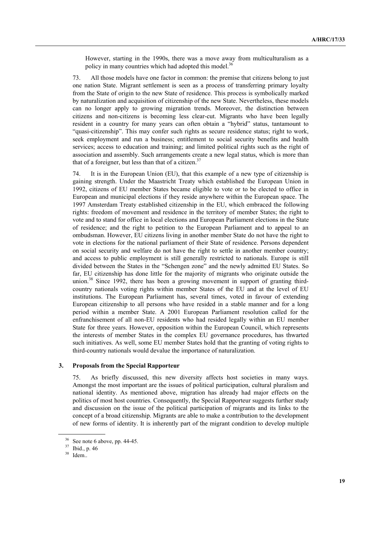However, starting in the 1990s, there was a move away from multiculturalism as a policy in many countries which had adopted this model.<sup>36</sup>

73. All those models have one factor in common: the premise that citizens belong to just one nation State. Migrant settlement is seen as a process of transferring primary loyalty from the State of origin to the new State of residence. This process is symbolically marked by naturalization and acquisition of citizenship of the new State. Nevertheless, these models can no longer apply to growing migration trends. Moreover, the distinction between citizens and non-citizens is becoming less clear-cut. Migrants who have been legally resident in a country for many years can often obtain a "hybrid" status, tantamount to "quasi-citizenship". This may confer such rights as secure residence status; right to work, seek employment and run a business; entitlement to social security benefits and health services; access to education and training; and limited political rights such as the right of association and assembly. Such arrangements create a new legal status, which is more than that of a foreigner, but less than that of a citizen. $37$ 

74. It is in the European Union (EU), that this example of a new type of citizenship is gaining strength. Under the Maastricht Treaty which established the European Union in 1992, citizens of EU member States became eligible to vote or to be elected to office in European and municipal elections if they reside anywhere within the European space. The 1997 Amsterdam Treaty established citizenship in the EU, which embraced the following rights: freedom of movement and residence in the territory of member States; the right to vote and to stand for office in local elections and European Parliament elections in the State of residence; and the right to petition to the European Parliament and to appeal to an ombudsman. However, EU citizens living in another member State do not have the right to vote in elections for the national parliament of their State of residence. Persons dependent on social security and welfare do not have the right to settle in another member country; and access to public employment is still generally restricted to nationals. Europe is still divided between the States in the "Schengen zone" and the newly admitted EU States. So far, EU citizenship has done little for the majority of migrants who originate outside the union.<sup>38</sup> Since 1992, there has been a growing movement in support of granting thirdcountry nationals voting rights within member States of the EU and at the level of EU institutions. The European Parliament has, several times, voted in favour of extending European citizenship to all persons who have resided in a stable manner and for a long period within a member State. A 2001 European Parliament resolution called for the enfranchisement of all non-EU residents who had resided legally within an EU member State for three years. However, opposition within the European Council, which represents the interests of member States in the complex EU governance procedures, has thwarted such initiatives. As well, some EU member States hold that the granting of voting rights to third-country nationals would devalue the importance of naturalization.

### **3. Proposals from the Special Rapporteur**

75. As briefly discussed, this new diversity affects host societies in many ways. Amongst the most important are the issues of political participation, cultural pluralism and national identity. As mentioned above, migration has already had major effects on the politics of most host countries. Consequently, the Special Rapporteur suggests further study and discussion on the issue of the political participation of migrants and its links to the concept of a broad citizenship. Migrants are able to make a contribution to the development of new forms of identity. It is inherently part of the migrant condition to develop multiple

 $36$  See note 6 above, pp. 44-45.

<sup>37</sup> Ibid., p. 46

<sup>38</sup> Idem..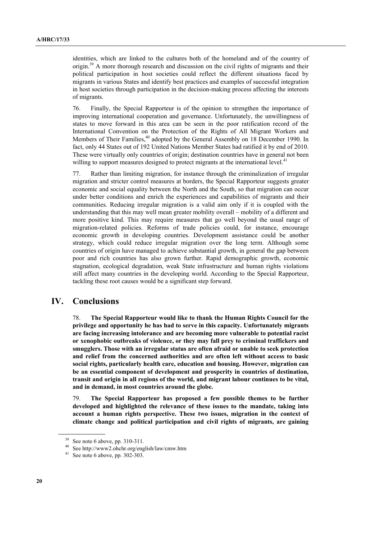identities, which are linked to the cultures both of the homeland and of the country of origin.39 A more thorough research and discussion on the civil rights of migrants and their political participation in host societies could reflect the different situations faced by migrants in various States and identify best practices and examples of successful integration in host societies through participation in the decision-making process affecting the interests of migrants.

76. Finally, the Special Rapporteur is of the opinion to strengthen the importance of improving international cooperation and governance. Unfortunately, the unwillingness of states to move forward in this area can be seen in the poor ratification record of the International Convention on the Protection of the Rights of All Migrant Workers and Members of Their Families,<sup>40</sup> adopted by the General Assembly on 18 December 1990. In fact, only 44 States out of 192 United Nations Member States had ratified it by end of 2010. These were virtually only countries of origin; destination countries have in general not been willing to support measures designed to protect migrants at the international level.<sup>41</sup>

77. Rather than limiting migration, for instance through the criminalization of irregular migration and stricter control measures at borders, the Special Rapporteur suggests greater economic and social equality between the North and the South, so that migration can occur under better conditions and enrich the experiences and capabilities of migrants and their communities. Reducing irregular migration is a valid aim only if it is coupled with the understanding that this may well mean greater mobility overall – mobility of a different and more positive kind. This may require measures that go well beyond the usual range of migration-related policies. Reforms of trade policies could, for instance, encourage economic growth in developing countries. Development assistance could be another strategy, which could reduce irregular migration over the long term. Although some countries of origin have managed to achieve substantial growth, in general the gap between poor and rich countries has also grown further. Rapid demographic growth, economic stagnation, ecological degradation, weak State infrastructure and human rights violations still affect many countries in the developing world. According to the Special Rapporteur, tackling these root causes would be a significant step forward.

## **IV. Conclusions**

78. **The Special Rapporteur would like to thank the Human Rights Council for the privilege and opportunity he has had to serve in this capacity. Unfortunately migrants are facing increasing intolerance and are becoming more vulnerable to potential racist or xenophobic outbreaks of violence, or they may fall prey to criminal traffickers and smugglers. Those with an irregular status are often afraid or unable to seek protection and relief from the concerned authorities and are often left without access to basic social rights, particularly health care, education and housing. However, migration can be an essential component of development and prosperity in countries of destination, transit and origin in all regions of the world, and migrant labour continues to be vital, and in demand, in most countries around the globe.** 

79. **The Special Rapporteur has proposed a few possible themes to be further developed and highlighted the relevance of these issues to the mandate, taking into account a human rights perspective. These two issues, migration in the context of climate change and political participation and civil rights of migrants, are gaining** 

 $39$  See note 6 above, pp. 310-311.

<sup>40</sup> See http://www2.ohchr.org/english/law/cmw.htm See note 6 above, pp. 302-303.